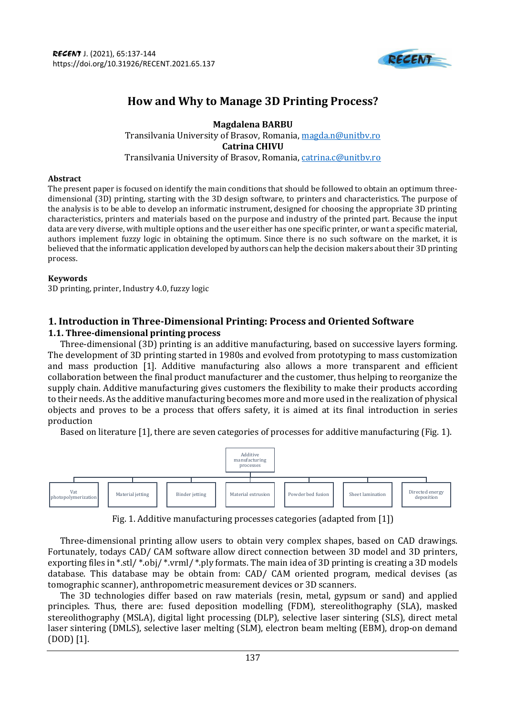

# **How and Why to Manage 3D Printing Process?**

**Magdalena BARBU**  Transilvania University of Brasov, Romania, [magda.n@unitbv.ro](mailto:magda.n@unitbv.ro) **Catrina CHIVU** Transilvania University of Brasov, Romania, [catrina.c@unitbv.ro](mailto:catrina.c@unitbv.ro)

#### **Abstract**

The present paper is focused on identify the main conditions that should be followed to obtain an optimum threedimensional (3D) printing, starting with the 3D design software, to printers and characteristics. The purpose of the analysis is to be able to develop an informatic instrument, designed for choosing the appropriate 3D printing characteristics, printers and materials based on the purpose and industry of the printed part. Because the input data are very diverse, with multiple options and the user either has one specific printer, or want a specific material, authors implement fuzzy logic in obtaining the optimum. Since there is no such software on the market, it is believed that the informatic application developed by authors can help the decision makers about their 3D printing process.

#### **Keywords**

3D printing, printer, Industry 4.0, fuzzy logic

# **1. Introduction in Three-Dimensional Printing: Process and Oriented Software**

# **1.1. Three-dimensional printing process**

Three-dimensional (3D) printing is an additive manufacturing, based on successive layers forming. The development of 3D printing started in 1980s and evolved from prototyping to mass customization and mass production [1]. Additive manufacturing also allows a more transparent and efficient collaboration between the final product manufacturer and the customer, thus helping to reorganize the supply chain. Additive manufacturing gives customers the flexibility to make their products according to their needs. As the additive manufacturing becomes more and more used in the realization of physical objects and proves to be a process that offers safety, it is aimed at its final introduction in series production

Based on literature [1], there are seven categories of processes for additive manufacturing (Fig. 1).



Fig. 1. Additive manufacturing processes categories (adapted from [1])

Three-dimensional printing allow users to obtain very complex shapes, based on CAD drawings. Fortunately, todays CAD/ CAM software allow direct connection between 3D model and 3D printers, exporting files in \*.stl/ \*.obj/ \*.vrml/ \*.ply formats. The main idea of 3D printing is creating a 3D models database. This database may be obtain from: CAD/ CAM oriented program, medical devises (as tomographic scanner), anthropometric measurement devices or 3D scanners.

The 3D technologies differ based on raw materials (resin, metal, gypsum or sand) and applied principles. Thus, there are: fused deposition modelling (FDM), stereolithography (SLA), masked stereolithography (MSLA), digital light processing (DLP), selective laser sintering (SLS), direct metal laser sintering (DMLS), selective laser melting (SLM), electron beam melting (EBM), drop-on demand (DOD) [1].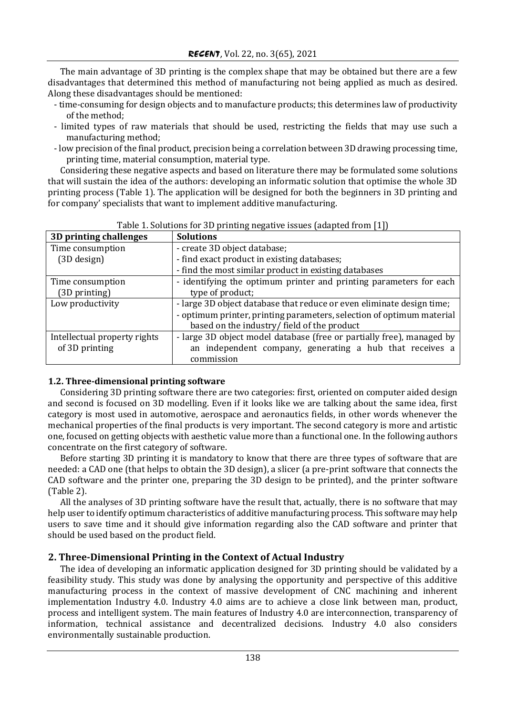The main advantage of 3D printing is the complex shape that may be obtained but there are a few disadvantages that determined this method of manufacturing not being applied as much as desired. Along these disadvantages should be mentioned:

- time-consuming for design objects and to manufacture products; this determines law of productivity of the method;
- limited types of raw materials that should be used, restricting the fields that may use such a manufacturing method;
- low precision of the final product, precision being a correlation between 3D drawing processing time, printing time, material consumption, material type.

Considering these negative aspects and based on literature there may be formulated some solutions that will sustain the idea of the authors: developing an informatic solution that optimise the whole 3D printing process (Table 1). The application will be designed for both the beginners in 3D printing and for company' specialists that want to implement additive manufacturing.

| 3D printing challenges       | <b>Solutions</b>                                                      |  |
|------------------------------|-----------------------------------------------------------------------|--|
| Time consumption             | - create 3D object database;                                          |  |
| (3D design)                  | - find exact product in existing databases;                           |  |
|                              | - find the most similar product in existing databases                 |  |
| Time consumption             | - identifying the optimum printer and printing parameters for each    |  |
| (3D printing)                | type of product;                                                      |  |
| Low productivity             | - large 3D object database that reduce or even eliminate design time; |  |
|                              | - optimum printer, printing parameters, selection of optimum material |  |
|                              | based on the industry/field of the product                            |  |
| Intellectual property rights | - large 3D object model database (free or partially free), managed by |  |
| of 3D printing               | an independent company, generating a hub that receives a              |  |
|                              | commission                                                            |  |

| Table 1. Solutions for 3D printing negative issues (adapted from [1]) |  |  |
|-----------------------------------------------------------------------|--|--|
|                                                                       |  |  |

## **1.2. Three-dimensional printing software**

Considering 3D printing software there are two categories: first, oriented on computer aided design and second is focused on 3D modelling. Even if it looks like we are talking about the same idea, first category is most used in automotive, aerospace and aeronautics fields, in other words whenever the mechanical properties of the final products is very important. The second category is more and artistic one, focused on getting objects with aesthetic value more than a functional one. In the following authors concentrate on the first category of software.

Before starting 3D printing it is mandatory to know that there are three types of software that are needed: a CAD one (that helps to obtain the 3D design), a slicer (a pre-print software that connects the CAD software and the printer one, preparing the 3D design to be printed), and the printer software (Table 2).

All the analyses of 3D printing software have the result that, actually, there is no software that may help user to identify optimum characteristics of additive manufacturing process. This software may help users to save time and it should give information regarding also the CAD software and printer that should be used based on the product field.

# **2. Three-Dimensional Printing in the Context of Actual Industry**

The idea of developing an informatic application designed for 3D printing should be validated by a feasibility study. This study was done by analysing the opportunity and perspective of this additive manufacturing process in the context of massive development of CNC machining and inherent implementation Industry 4.0. Industry 4.0 aims are to achieve a close link between man, product, process and intelligent system. The main features of Industry 4.0 are interconnection, transparency of information, technical assistance and decentralized decisions. Industry 4.0 also considers environmentally sustainable production.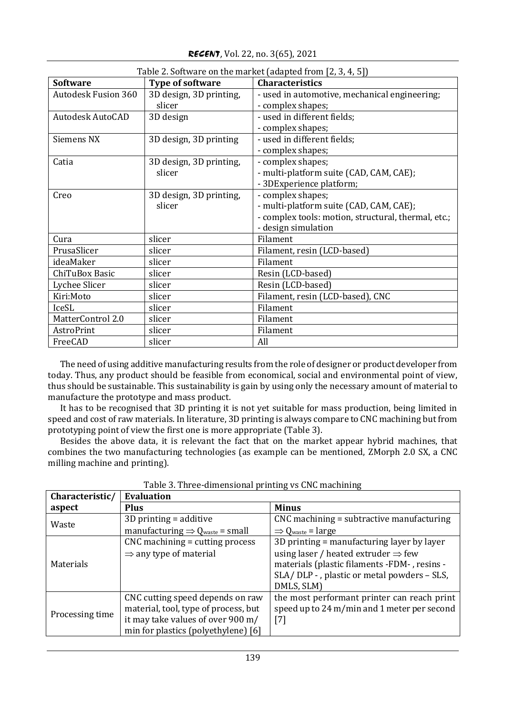|                            | Table 2. Software on the market (adapted from [2, 3, 4, 5]) |                                                     |  |  |
|----------------------------|-------------------------------------------------------------|-----------------------------------------------------|--|--|
| <b>Software</b>            | Type of software                                            | <b>Characteristics</b>                              |  |  |
| <b>Autodesk Fusion 360</b> | 3D design, 3D printing,                                     | - used in automotive, mechanical engineering;       |  |  |
|                            | slicer                                                      | - complex shapes;                                   |  |  |
| Autodesk AutoCAD           | 3D design                                                   | - used in different fields;                         |  |  |
|                            |                                                             | - complex shapes;                                   |  |  |
| Siemens NX                 | 3D design, 3D printing                                      | - used in different fields;                         |  |  |
|                            |                                                             | - complex shapes;                                   |  |  |
| Catia                      | 3D design, 3D printing,                                     | - complex shapes;                                   |  |  |
|                            | slicer                                                      | - multi-platform suite (CAD, CAM, CAE);             |  |  |
|                            |                                                             | - 3DExperience platform;                            |  |  |
| Creo                       | 3D design, 3D printing,                                     | - complex shapes;                                   |  |  |
|                            | slicer                                                      | - multi-platform suite (CAD, CAM, CAE);             |  |  |
|                            |                                                             | - complex tools: motion, structural, thermal, etc.; |  |  |
|                            |                                                             | - design simulation                                 |  |  |
| Cura                       | slicer                                                      | Filament                                            |  |  |
| PrusaSlicer                | slicer                                                      | Filament, resin (LCD-based)                         |  |  |
| ideaMaker                  | slicer                                                      | Filament                                            |  |  |
| ChiTuBox Basic             | slicer                                                      | Resin (LCD-based)                                   |  |  |
| Lychee Slicer              | slicer                                                      | Resin (LCD-based)                                   |  |  |
| Kiri:Moto                  | slicer                                                      | Filament, resin (LCD-based), CNC                    |  |  |
| IceSL                      | slicer                                                      | Filament                                            |  |  |
| MatterControl 2.0          | slicer                                                      | Filament                                            |  |  |
| AstroPrint                 | slicer                                                      | Filament                                            |  |  |
| FreeCAD                    | slicer                                                      | All                                                 |  |  |

*RECENT*, Vol. 22, no. 3(65), 2021

The need of using additive manufacturing results from the role of designer or product developer from today. Thus, any product should be feasible from economical, social and environmental point of view, thus should be sustainable. This sustainability is gain by using only the necessary amount of material to manufacture the prototype and mass product.

It has to be recognised that 3D printing it is not yet suitable for mass production, being limited in speed and cost of raw materials. In literature, 3D printing is always compare to CNC machining but from prototyping point of view the first one is more appropriate (Table 3).

Besides the above data, it is relevant the fact that on the market appear hybrid machines, that combines the two manufacturing technologies (as example can be mentioned, ZMorph 2.0 SX, a CNC milling machine and printing).

| Characteristic/ | <b>Evaluation</b>                                    |                                                 |  |
|-----------------|------------------------------------------------------|-------------------------------------------------|--|
| aspect          | <b>Plus</b>                                          | <b>Minus</b>                                    |  |
| Waste           | $3D$ printing = additive                             | CNC machining = subtractive manufacturing       |  |
|                 | manufacturing $\Rightarrow Q_{\text{waste}}$ = small | $\Rightarrow Q_{\text{waste}} = \text{large}$   |  |
|                 | $CNC$ machining = cutting process                    | 3D printing = manufacturing layer by layer      |  |
| Materials       | $\Rightarrow$ any type of material                   | using laser / heated extruder $\Rightarrow$ few |  |
|                 |                                                      | materials (plastic filaments -FDM-, resins -    |  |
|                 |                                                      | SLA/DLP - , plastic or metal powders - SLS,     |  |
|                 |                                                      | DMLS, SLM)                                      |  |
|                 | CNC cutting speed depends on raw                     | the most performant printer can reach print     |  |
| Processing time | material, tool, type of process, but                 | speed up to 24 m/min and 1 meter per second     |  |
|                 | it may take values of over 900 m/                    | $[7]$                                           |  |
|                 | min for plastics (polyethylene) [6]                  |                                                 |  |

Table 3. Three-dimensional printing vs CNC machining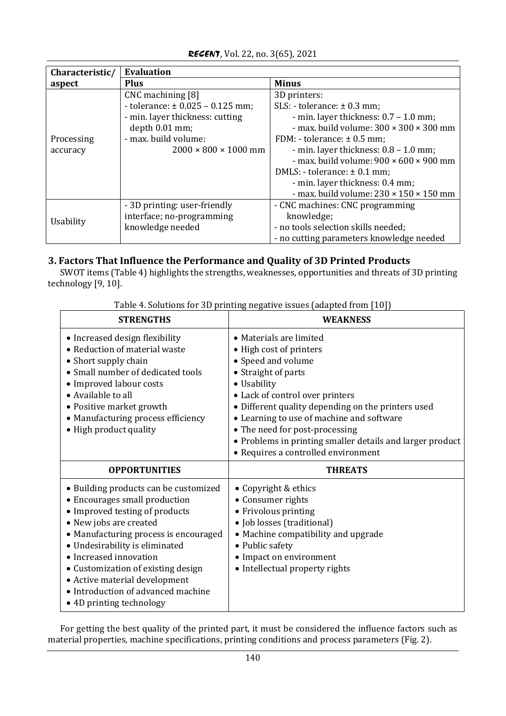| Characteristic/ | <b>Evaluation</b>                                                                                |                                                                                                                                  |  |
|-----------------|--------------------------------------------------------------------------------------------------|----------------------------------------------------------------------------------------------------------------------------------|--|
| aspect          | <b>Plus</b>                                                                                      | <b>Minus</b>                                                                                                                     |  |
|                 | $CNC$ machining $[8]$<br>- tolerance: $\pm 0.025 - 0.125$ mm;<br>- min. layer thickness: cutting | 3D printers:<br>$SLS:$ - tolerance: $\pm$ 0.3 mm;<br>- min. layer thickness: $0.7 - 1.0$ mm;                                     |  |
| Processing      | depth 0.01 mm;<br>- max. build volume:                                                           | - max. build volume: $300 \times 300 \times 300$ mm<br>FDM: - tolerance: $\pm$ 0.5 mm;                                           |  |
| accuracy        | $2000 \times 800 \times 1000$ mm                                                                 | - min. layer thickness: 0.8 - 1.0 mm;<br>- max. build volume: $900 \times 600 \times 900$ mm                                     |  |
|                 |                                                                                                  | DMLS: - tolerance: $\pm$ 0.1 mm;<br>- min. layer thickness: 0.4 mm;<br>- max. build volume: $230 \times 150 \times 150$ mm       |  |
| Usability       | - 3D printing: user-friendly<br>interface; no-programming<br>knowledge needed                    | - CNC machines: CNC programming<br>knowledge;<br>- no tools selection skills needed;<br>- no cutting parameters knowledge needed |  |

# *RECENT*, Vol. 22, no. 3(65), 2021

# **3. Factors That Influence the Performance and Quality of 3D Printed Products**

SWOT items (Table 4) highlights the strengths, weaknesses, opportunities and threats of 3D printing technology [9, 10].

| <b>STRENGTHS</b>                                                                                                                                                                                                                                                                                                                                                                 | WEAKNESS                                                                                                                                                                                                                                                                                                                                                                                   |  |  |
|----------------------------------------------------------------------------------------------------------------------------------------------------------------------------------------------------------------------------------------------------------------------------------------------------------------------------------------------------------------------------------|--------------------------------------------------------------------------------------------------------------------------------------------------------------------------------------------------------------------------------------------------------------------------------------------------------------------------------------------------------------------------------------------|--|--|
| • Increased design flexibility<br>• Reduction of material waste<br>• Short supply chain<br>• Small number of dedicated tools<br>• Improved labour costs<br>• Available to all<br>• Positive market growth<br>• Manufacturing process efficiency<br>• High product quality                                                                                                        | • Materials are limited<br>• High cost of printers<br>• Speed and volume<br>• Straight of parts<br>• Usability<br>• Lack of control over printers<br>• Different quality depending on the printers used<br>• Learning to use of machine and software<br>• The need for post-processing<br>• Problems in printing smaller details and larger product<br>• Requires a controlled environment |  |  |
| <b>OPPORTUNITIES</b>                                                                                                                                                                                                                                                                                                                                                             | <b>THREATS</b>                                                                                                                                                                                                                                                                                                                                                                             |  |  |
| • Building products can be customized<br>• Encourages small production<br>• Improved testing of products<br>• New jobs are created<br>• Manufacturing process is encouraged<br>• Undesirability is eliminated<br>• Increased innovation<br>• Customization of existing design<br>• Active material development<br>• Introduction of advanced machine<br>• 4D printing technology | • Copyright & ethics<br>• Consumer rights<br>• Frivolous printing<br>· Job losses (traditional)<br>• Machine compatibility and upgrade<br>• Public safety<br>• Impact on environment<br>• Intellectual property rights                                                                                                                                                                     |  |  |

Table 4. Solutions for 3D printing negative issues (adapted from [10])

For getting the best quality of the printed part, it must be considered the influence factors such as material properties, machine specifications, printing conditions and process parameters (Fig. 2).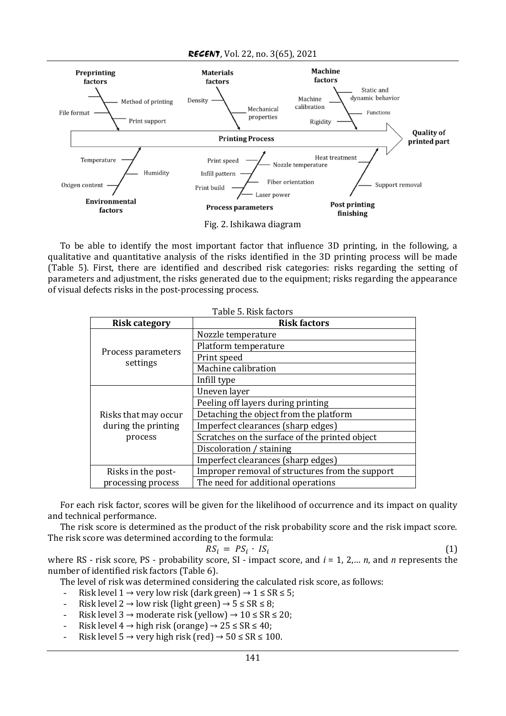*RECENT*, Vol. 22, no. 3(65), 2021



To be able to identify the most important factor that influence 3D printing, in the following, a qualitative and quantitative analysis of the risks identified in the 3D printing process will be made (Table 5). First, there are identified and described risk categories: risks regarding the setting of parameters and adjustment, the risks generated due to the equipment; risks regarding the appearance of visual defects risks in the post-processing process.

| Table 5. Risk factors                                    |                                                 |  |
|----------------------------------------------------------|-------------------------------------------------|--|
| <b>Risk category</b>                                     | <b>Risk factors</b>                             |  |
| Process parameters<br>settings                           | Nozzle temperature                              |  |
|                                                          | Platform temperature                            |  |
|                                                          | Print speed                                     |  |
|                                                          | Machine calibration                             |  |
|                                                          | Infill type                                     |  |
|                                                          | Uneven layer                                    |  |
|                                                          | Peeling off layers during printing              |  |
| Risks that may occur<br>during the printing<br>process   | Detaching the object from the platform          |  |
|                                                          | Imperfect clearances (sharp edges)              |  |
|                                                          | Scratches on the surface of the printed object  |  |
|                                                          | Discoloration / staining                        |  |
|                                                          | Imperfect clearances (sharp edges)              |  |
| Risks in the post-                                       | Improper removal of structures from the support |  |
| processing process<br>The need for additional operations |                                                 |  |

For each risk factor, scores will be given for the likelihood of occurrence and its impact on quality and technical performance.

The risk score is determined as the product of the risk probability score and the risk impact score. The risk score was determined according to the formula:

$$
RS_i = PS_i \cdot IS_i
$$

(1)

where RS - risk score, PS - probability score, SI - impact score, and *i* = 1, 2,… *n*, and *n* represents the number of identified risk factors (Table 6).

The level of risk was determined considering the calculated risk score, as follows:

- Risk level  $1 \rightarrow$  very low risk (dark green)  $\rightarrow 1 \leq$  SR  $\leq$  5;
- Risk level  $2 \rightarrow$  low risk (light green)  $\rightarrow$  5  $\leq$  SR  $\leq$  8;
- Risk level 3 → moderate risk (yellow) →  $10 \leq SR \leq 20$ ;
- Risk level  $4 \rightarrow$  high risk (orange)  $\rightarrow$  25  $\leq$  SR  $\leq$  40;
- Risk level  $5 \rightarrow$  very high risk (red)  $\rightarrow$  50  $\leq$  SR  $\leq$  100.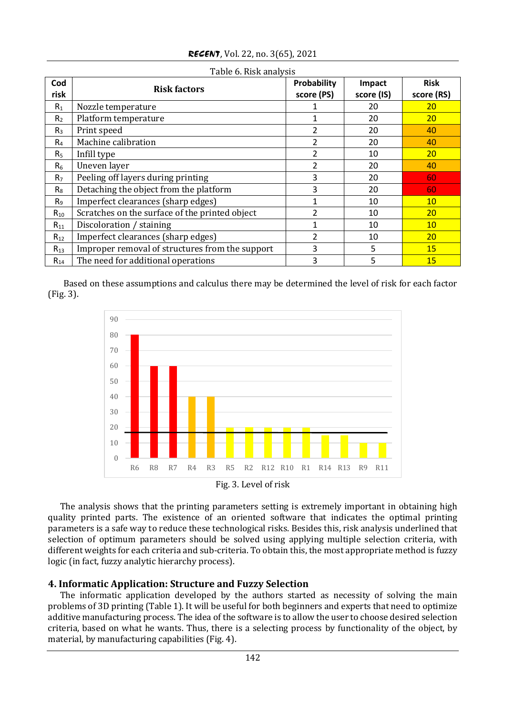| Cod<br>risk    | <b>Risk factors</b>                             | Probability<br>score (PS) | Impact<br>score (IS) | <b>Risk</b><br>score (RS) |
|----------------|-------------------------------------------------|---------------------------|----------------------|---------------------------|
| $R_1$          | Nozzle temperature                              |                           | 20                   | 20                        |
| R <sub>2</sub> | Platform temperature                            |                           | 20                   | <b>20</b>                 |
| $R_3$          | Print speed                                     | 2                         | 20                   | 40                        |
| $R_4$          | Machine calibration                             | $\overline{2}$            | 20                   | 40                        |
| R <sub>5</sub> | Infill type                                     | 2                         | 10                   | <b>20</b>                 |
| R <sub>6</sub> | Uneven layer                                    | $\overline{2}$            | 20                   | 40                        |
| R <sub>7</sub> | Peeling off layers during printing              | 3                         | 20                   | 60                        |
| $R_8$          | Detaching the object from the platform          | 3                         | 20                   | 60                        |
| R <sub>9</sub> | Imperfect clearances (sharp edges)              | 1                         | 10                   | 10 <sup>°</sup>           |
| $R_{10}$       | Scratches on the surface of the printed object  | 2                         | 10                   | 20                        |
| $R_{11}$       | Discoloration / staining                        | 1                         | 10                   | 10 <sup>°</sup>           |
| $R_{12}$       | Imperfect clearances (sharp edges)              | $\overline{2}$            | 10                   | <b>20</b>                 |
| $R_{13}$       | Improper removal of structures from the support | 3                         | 5                    | 15                        |
| $R_{14}$       | The need for additional operations              | 3                         | 5                    | 15                        |

*RECENT*, Vol. 22, no. 3(65), 2021

Table 6. Risk analysis

Based on these assumptions and calculus there may be determined the level of risk for each factor (Fig. 3).



The analysis shows that the printing parameters setting is extremely important in obtaining high quality printed parts. The existence of an oriented software that indicates the optimal printing parameters is a safe way to reduce these technological risks. Besides this, risk analysis underlined that selection of optimum parameters should be solved using applying multiple selection criteria, with different weights for each criteria and sub-criteria. To obtain this, the most appropriate method is fuzzy logic (in fact, fuzzy analytic hierarchy process).

## **4. Informatic Application: Structure and Fuzzy Selection**

The informatic application developed by the authors started as necessity of solving the main problems of 3D printing (Table 1). It will be useful for both beginners and experts that need to optimize additive manufacturing process. The idea of the software is to allow the user to choose desired selection criteria, based on what he wants. Thus, there is a selecting process by functionality of the object, by material, by manufacturing capabilities (Fig. 4).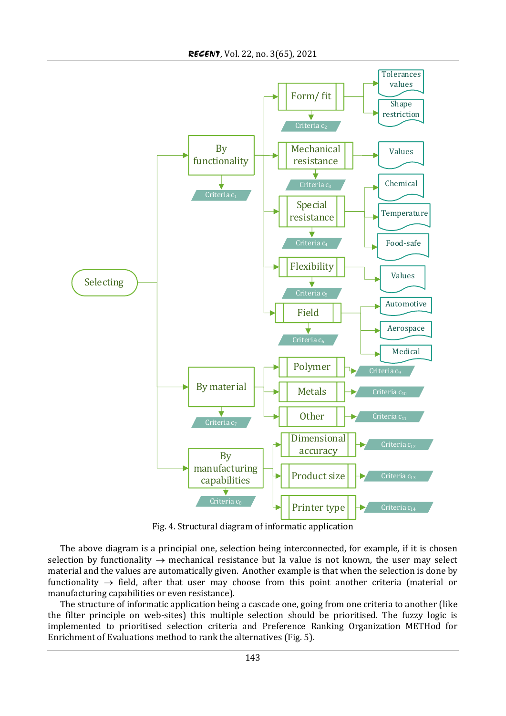

Fig. 4. Structural diagram of informatic application

The above diagram is a principial one, selection being interconnected, for example, if it is chosen selection by functionality  $\rightarrow$  mechanical resistance but la value is not known, the user may select material and the values are automatically given. Another example is that when the selection is done by functionality  $\rightarrow$  field, after that user may choose from this point another criteria (material or manufacturing capabilities or even resistance).

The structure of informatic application being a cascade one, going from one criteria to another (like the filter principle on web-sites) this multiple selection should be prioritised. The fuzzy logic is implemented to prioritised selection criteria and Preference Ranking Organization METHod for Enrichment of Evaluations method to rank the alternatives (Fig. 5).